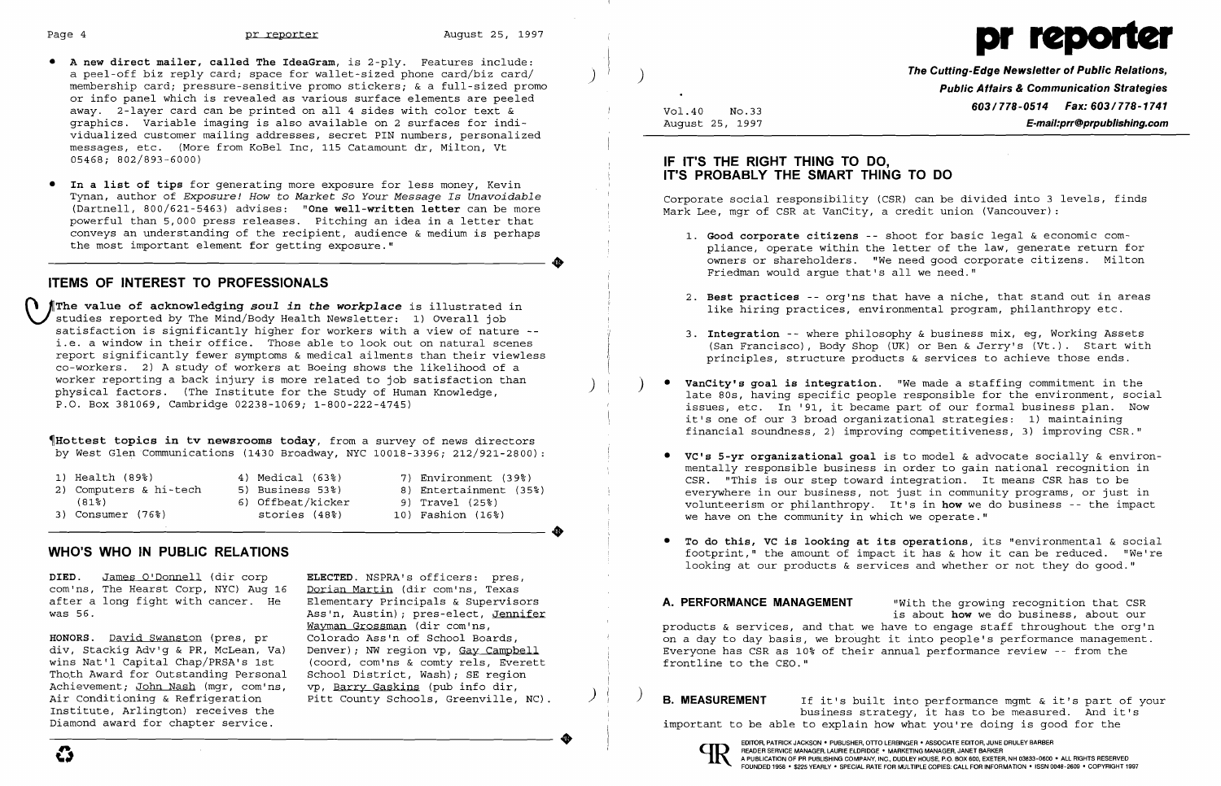

pliance, operate within the letter of the law, qenerate return for owners or shareholders. "We need good corporate citizens. Milton

### IF IT'S THE RIGHT THING TO DO. **IT'S PROBABLY THE SMART THING TO DO**

Corporate social responsibility (CSR) can be divided into 3 levels, finds<br>Mark Lee, mgr of CSR at VanCity, a credit union (Vancouver):

- Friedman would argue that's all we need."
- 
- 
- 
- **• VC's 5-yr organizational goal** is to model & advocate socially & environ-1) Health (89%) 4) Medical (63%) 7) Environment (39%) CSR. "This is our step toward integration. It means CSR has to be<br>2) Computers & hi-tech 5) Business 53%) 8) Entertainment (35%) 8 averwhere in our business not just in we have on the community in which we operate."
	-

- • **A new direct mailer, called The IdeaGram,** is 2-ply. Features include: . .I a peel-off biz reply card; space for wallet-sized phone card/biz card/ ) a member of the Cutting-**Edge Newsletter of Public Relations,**<br>Intervals the Cutting-Edge **Newsletter of Public Relations, and the Cutting-Edge Newsl** membership card; pressure-sensitive promo stickers; & a full-sized promo or info panel which is revealed as various surface elements are peeled **603/778-0514 Fax: 603/778-1741** away. 2-layer card can be printed on all 4 sides with color text & Vol. 40 No.33 **603/778-0514 Fax: 603/778-1741**<br>Geom graphics. Variable imaging is also available on 2 surfaces for individualized customer mailing addresses, secret PIN numbers, personalized messages, etc. (More from KoBel Inc, 115 Catamount dr, Milton, Vt 05468; 802/893-6000)
- **• In a list of tips** for generating more exposure for less money, Kevin Tynan, author of Exposure! How to Market So Your Message Is Unavoidable (Dartnell, 800/621-5463) advises: "One well-written letter can be more powerful than 5,000 press releases. Pitching an idea in a letter that conveys an understanding of the recipient, audience & medium is perhaps 1. **Good corporate citizens** -- shoot for basic legal & economic com-

issues, etc. In '91, it became part of our formal business plan. Now it's one of our 3 broad organizational strategies: 1) maintaining

flottest topics in tv newsrooms today, from a survey of news directors by West Glen Communications (1430 Broadway, NYC 10018-3396; 212/921-2800):

## **ITEMS OF INTEREST TO PROFESSIONALS**

The value of acknowledging *soul in the workplace* is illustrated in studies reported by The Mind/Body Health Newsletter: 1) Overall job satisfaction is significantly higher for workers with a view of nature -- The Mannell S. **Integration** -- where philosophy & business mix, eg, Working Assets<br>i.e. a window in their office. Those able to look out on natural i.e. a window in their office. Those able to look out on natural scenes (San Francisco), Body Shop (UK) or Ben & Jerry's (Vt.). Start with the report significantly fewer symptoms & medical ailments than their viewless (San report significantly fewer symptoms & medical ailments than their viewless co-workers. 2) A study of workers at Boeing shows the likelihood of a worker reporting a back injury is more related to job satisfaction than ) ) **• VanCity's goal is integration.** "We made a staffing commitment in the physical factors. (The Institute for the Study of Human Knowledge, and the Mateum of the Surfactors of the environment, social professions of the environment, social professions of the environment, social professions of th

2. **Best practices** -- org'ns that have a niche, that stand out in areas

**DIED.** James O'Donnell (dir corp **ELECTED.** NSPRA's officers: pres, com'ns, The Hearst Corp, NYC) Aug 16<br>after a long fight with cancer. He

wins Nat'l Capital Chap/PRSA's 1st (coord, com'ns & comty rels, Everett<br>Thoth Award for Outstanding Personal School District, Wash); SE region School District, Wash); SE region<br>vp, Barry Gaskins (pub info dir, Achievement; John Nash (mgr, com'ns, vp, Barry Gaskins (pub info dir,<br>Air Conditioning & Refrigeration Pitt County Schools, Greenville, NC).

after a long fight with cancer. He Elementary Principals & Supervisors **A. PERFORMANCE MANAGEMENT** "With the growing recognition that CSR Ass'n, Austin); pres-elect, <u>Jennifer</u> is about how we do business, about our is about how we do business, about our<br>Wayman Grossman (dir com'ns, is about our products & services, and that we have to engage staff throughou Wayman Grossman (dir com'ns, which we have to engage staff throughout the org'n<br>Colorado Ass'n of School Boards, which we have to day basis, we brought it into people's performance management HONORS. David Swanston (pres, pr colorado Ass'n of School Boards, entitled and the sound a day to day basis, we brought it into people's performance management.<br>div, Stackiq Adv'q & PR, McLean, Va) Denver); NW region vp, G div, Stackig Adv'g & PR, McLean, Va) Denver); NW region vp, <u>Gay Campbell</u> enters the these were has CSR as 10% of their annual performance review -- from the wins Nat'l Capital Chap/PRSA's 1st (coord, com'ns & comty rels,

Air Conditioning & Refrigeration pitt County Schools, Greenville, NC). And the Suil**e B. MEASUREMENT** if it's built into performance mgmt & it's part of your institute, Arlington) receives the Institute, Arlington) receives the the business strategy, it has to be measured. And it's important to be able to explain how what you're doing is good for the planet of the business strategy, it has to be measured. And it important to be able to explain how what you're doing is good for the





mentally responsible business in order to gain national recognition in Computers & hi-tech 5) Business 53%) 8) Entertainment (35%) everywhere in our business, not just in community programs, or just in the second of the second of the second of the second of the second of the second of the sec (81% ) 6) Offbeat/kicker 9) Travel (25%) volunteerism or philanthropy. It's in **how** we do business -- the impact

..

**• To do this, VC is looking at its operations,** its "environmental & social **WHO'S WHO IN PUBLIC RELATIONS Suppose that the amount of impact it has & how it can be reduced. "We're** looking at our products & services and whether or not they do good."